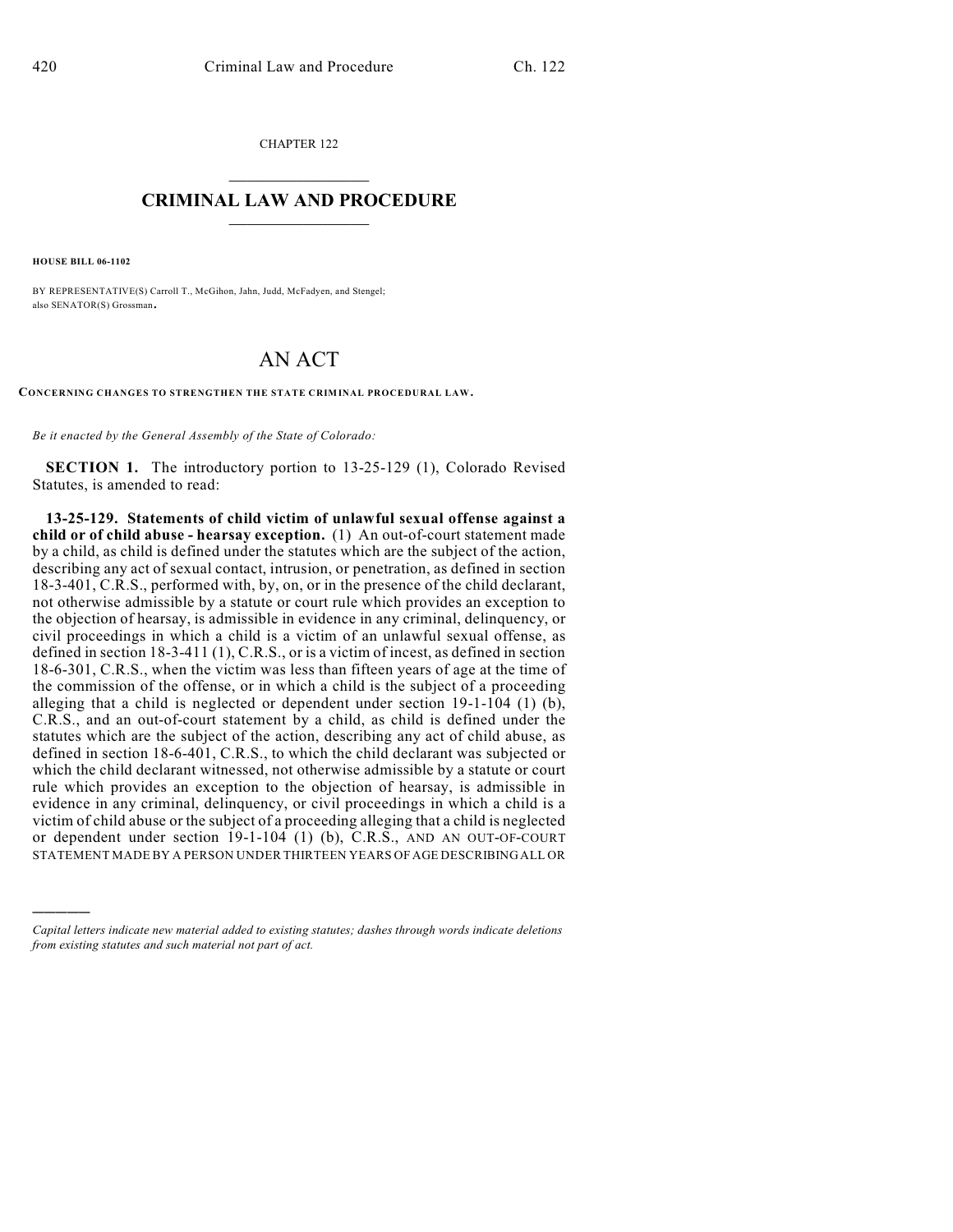CHAPTER 122  $\overline{\phantom{a}}$  . The set of the set of the set of the set of the set of the set of the set of the set of the set of the set of the set of the set of the set of the set of the set of the set of the set of the set of the set o

## **CRIMINAL LAW AND PROCEDURE**  $\frac{1}{2}$  ,  $\frac{1}{2}$  ,  $\frac{1}{2}$  ,  $\frac{1}{2}$  ,  $\frac{1}{2}$  ,  $\frac{1}{2}$  ,  $\frac{1}{2}$

**HOUSE BILL 06-1102**

)))))

BY REPRESENTATIVE(S) Carroll T., McGihon, Jahn, Judd, McFadyen, and Stengel; also SENATOR(S) Grossman.

## AN ACT

**CONCERNING CHANGES TO STRENGTHEN THE STATE CRIMINAL PROCEDURAL LAW.**

*Be it enacted by the General Assembly of the State of Colorado:*

**SECTION 1.** The introductory portion to 13-25-129 (1), Colorado Revised Statutes, is amended to read:

**13-25-129. Statements of child victim of unlawful sexual offense against a child or of child abuse - hearsay exception.** (1) An out-of-court statement made by a child, as child is defined under the statutes which are the subject of the action, describing any act of sexual contact, intrusion, or penetration, as defined in section 18-3-401, C.R.S., performed with, by, on, or in the presence of the child declarant, not otherwise admissible by a statute or court rule which provides an exception to the objection of hearsay, is admissible in evidence in any criminal, delinquency, or civil proceedings in which a child is a victim of an unlawful sexual offense, as defined in section 18-3-411 (1), C.R.S., or is a victim of incest, as defined in section 18-6-301, C.R.S., when the victim was less than fifteen years of age at the time of the commission of the offense, or in which a child is the subject of a proceeding alleging that a child is neglected or dependent under section 19-1-104 (1) (b), C.R.S., and an out-of-court statement by a child, as child is defined under the statutes which are the subject of the action, describing any act of child abuse, as defined in section 18-6-401, C.R.S., to which the child declarant was subjected or which the child declarant witnessed, not otherwise admissible by a statute or court rule which provides an exception to the objection of hearsay, is admissible in evidence in any criminal, delinquency, or civil proceedings in which a child is a victim of child abuse or the subject of a proceeding alleging that a child is neglected or dependent under section 19-1-104 (1) (b), C.R.S., AND AN OUT-OF-COURT STATEMENT MADE BY A PERSON UNDER THIRTEEN YEARS OF AGE DESCRIBING ALL OR

*Capital letters indicate new material added to existing statutes; dashes through words indicate deletions from existing statutes and such material not part of act.*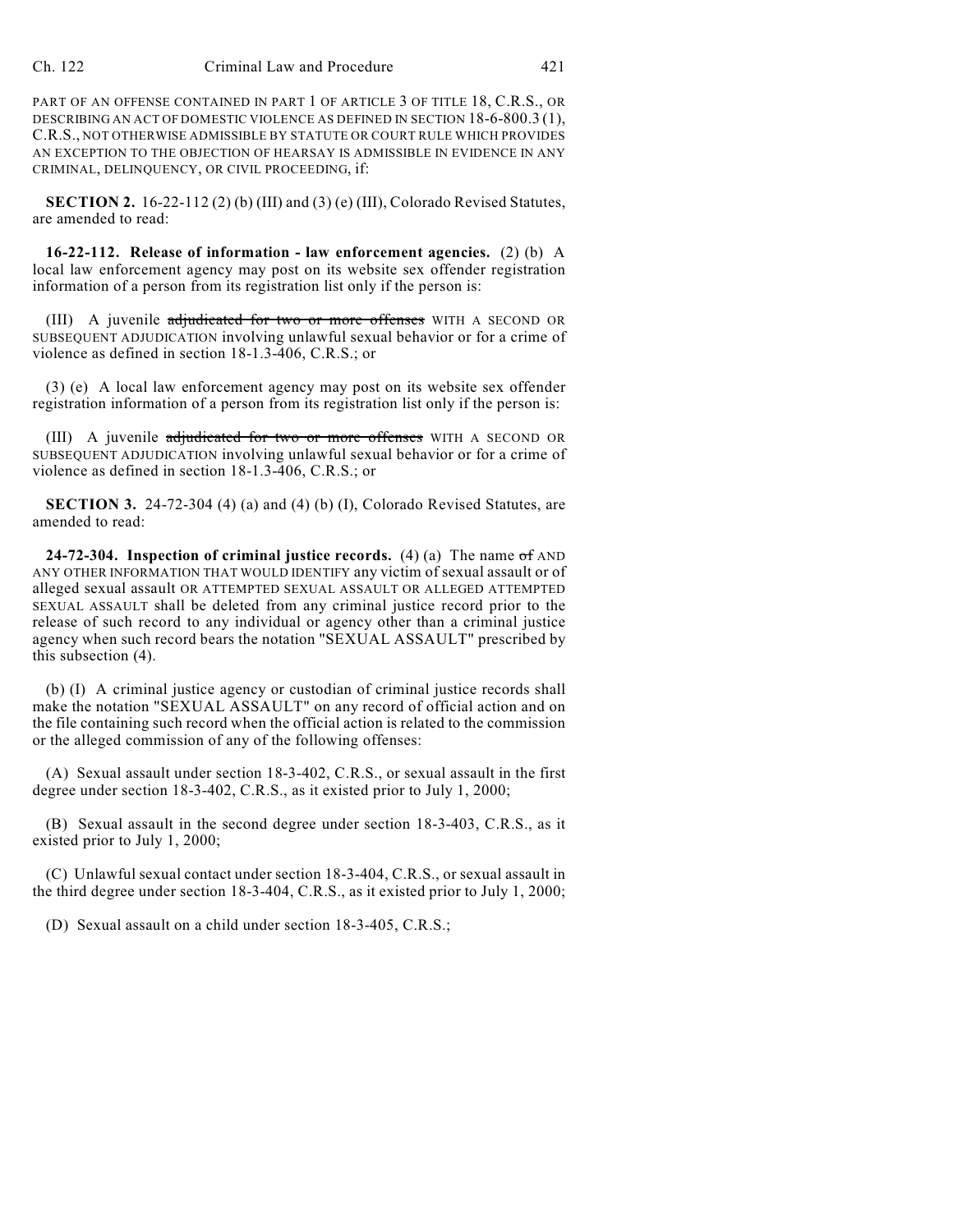PART OF AN OFFENSE CONTAINED IN PART 1 OF ARTICLE 3 OF TITLE 18, C.R.S., OR DESCRIBING AN ACT OF DOMESTIC VIOLENCE AS DEFINED IN SECTION 18-6-800.3 (1), C.R.S., NOT OTHERWISE ADMISSIBLE BY STATUTE OR COURT RULE WHICH PROVIDES AN EXCEPTION TO THE OBJECTION OF HEARSAY IS ADMISSIBLE IN EVIDENCE IN ANY CRIMINAL, DELINQUENCY, OR CIVIL PROCEEDING, if:

**SECTION 2.** 16-22-112 (2) (b) (III) and (3) (e) (III), Colorado Revised Statutes, are amended to read:

**16-22-112. Release of information - law enforcement agencies.** (2) (b) A local law enforcement agency may post on its website sex offender registration information of a person from its registration list only if the person is:

(III) A juvenile adjudicated for two or more offenses WITH A SECOND OR SUBSEQUENT ADJUDICATION involving unlawful sexual behavior or for a crime of violence as defined in section 18-1.3-406, C.R.S.; or

(3) (e) A local law enforcement agency may post on its website sex offender registration information of a person from its registration list only if the person is:

(III) A juvenile adjudicated for two or more offenses WITH A SECOND OR SUBSEQUENT ADJUDICATION involving unlawful sexual behavior or for a crime of violence as defined in section 18-1.3-406, C.R.S.; or

**SECTION 3.** 24-72-304 (4) (a) and (4) (b) (I), Colorado Revised Statutes, are amended to read:

**24-72-304. Inspection of criminal justice records.** (4) (a) The name of AND ANY OTHER INFORMATION THAT WOULD IDENTIFY any victim of sexual assault or of alleged sexual assault OR ATTEMPTED SEXUAL ASSAULT OR ALLEGED ATTEMPTED SEXUAL ASSAULT shall be deleted from any criminal justice record prior to the release of such record to any individual or agency other than a criminal justice agency when such record bears the notation "SEXUAL ASSAULT" prescribed by this subsection (4).

(b) (I) A criminal justice agency or custodian of criminal justice records shall make the notation "SEXUAL ASSAULT" on any record of official action and on the file containing such record when the official action is related to the commission or the alleged commission of any of the following offenses:

(A) Sexual assault under section 18-3-402, C.R.S., or sexual assault in the first degree under section 18-3-402, C.R.S., as it existed prior to July 1, 2000;

(B) Sexual assault in the second degree under section 18-3-403, C.R.S., as it existed prior to July 1, 2000;

(C) Unlawful sexual contact under section 18-3-404, C.R.S., or sexual assault in the third degree under section 18-3-404, C.R.S., as it existed prior to July 1, 2000;

(D) Sexual assault on a child under section 18-3-405, C.R.S.;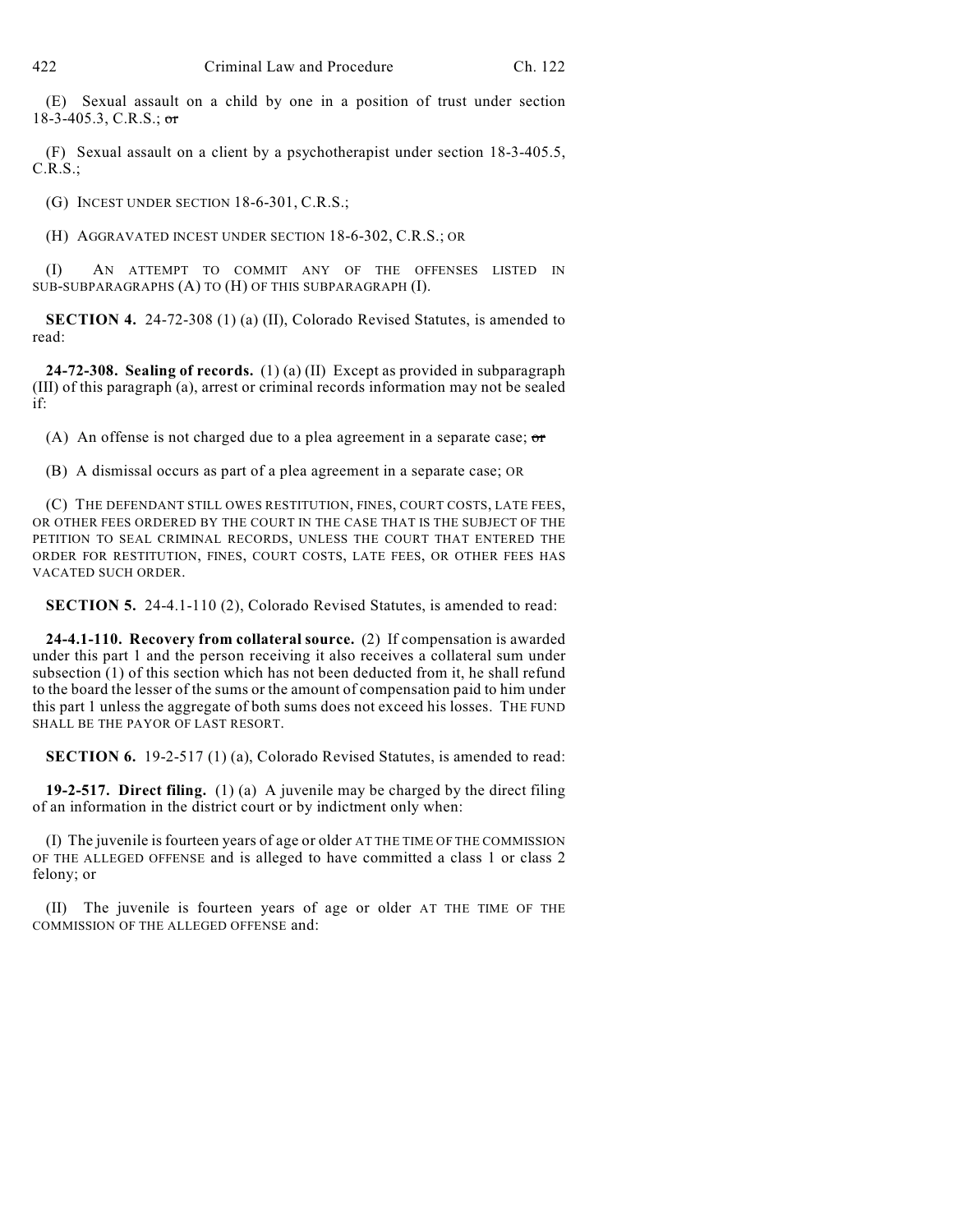(E) Sexual assault on a child by one in a position of trust under section 18-3-405.3, C.R.S.; or

(F) Sexual assault on a client by a psychotherapist under section 18-3-405.5, C.R.S.;

(G) INCEST UNDER SECTION 18-6-301, C.R.S.;

(H) AGGRAVATED INCEST UNDER SECTION 18-6-302, C.R.S.; OR

(I) AN ATTEMPT TO COMMIT ANY OF THE OFFENSES LISTED IN SUB-SUBPARAGRAPHS (A) TO (H) OF THIS SUBPARAGRAPH (I).

**SECTION 4.** 24-72-308 (1) (a) (II), Colorado Revised Statutes, is amended to read:

**24-72-308. Sealing of records.** (1) (a) (II) Except as provided in subparagraph (III) of this paragraph (a), arrest or criminal records information may not be sealed if:

(A) An offense is not charged due to a plea agreement in a separate case;  $\sigma$ 

(B) A dismissal occurs as part of a plea agreement in a separate case; OR

(C) THE DEFENDANT STILL OWES RESTITUTION, FINES, COURT COSTS, LATE FEES, OR OTHER FEES ORDERED BY THE COURT IN THE CASE THAT IS THE SUBJECT OF THE PETITION TO SEAL CRIMINAL RECORDS, UNLESS THE COURT THAT ENTERED THE ORDER FOR RESTITUTION, FINES, COURT COSTS, LATE FEES, OR OTHER FEES HAS VACATED SUCH ORDER.

**SECTION 5.** 24-4.1-110 (2), Colorado Revised Statutes, is amended to read:

**24-4.1-110. Recovery from collateral source.** (2) If compensation is awarded under this part 1 and the person receiving it also receives a collateral sum under subsection (1) of this section which has not been deducted from it, he shall refund to the board the lesser of the sums or the amount of compensation paid to him under this part 1 unless the aggregate of both sums does not exceed his losses. THE FUND SHALL BE THE PAYOR OF LAST RESORT.

**SECTION 6.** 19-2-517 (1) (a), Colorado Revised Statutes, is amended to read:

**19-2-517. Direct filing.** (1) (a) A juvenile may be charged by the direct filing of an information in the district court or by indictment only when:

(I) The juvenile is fourteen years of age or older AT THE TIME OF THE COMMISSION OF THE ALLEGED OFFENSE and is alleged to have committed a class 1 or class 2 felony; or

(II) The juvenile is fourteen years of age or older AT THE TIME OF THE COMMISSION OF THE ALLEGED OFFENSE and: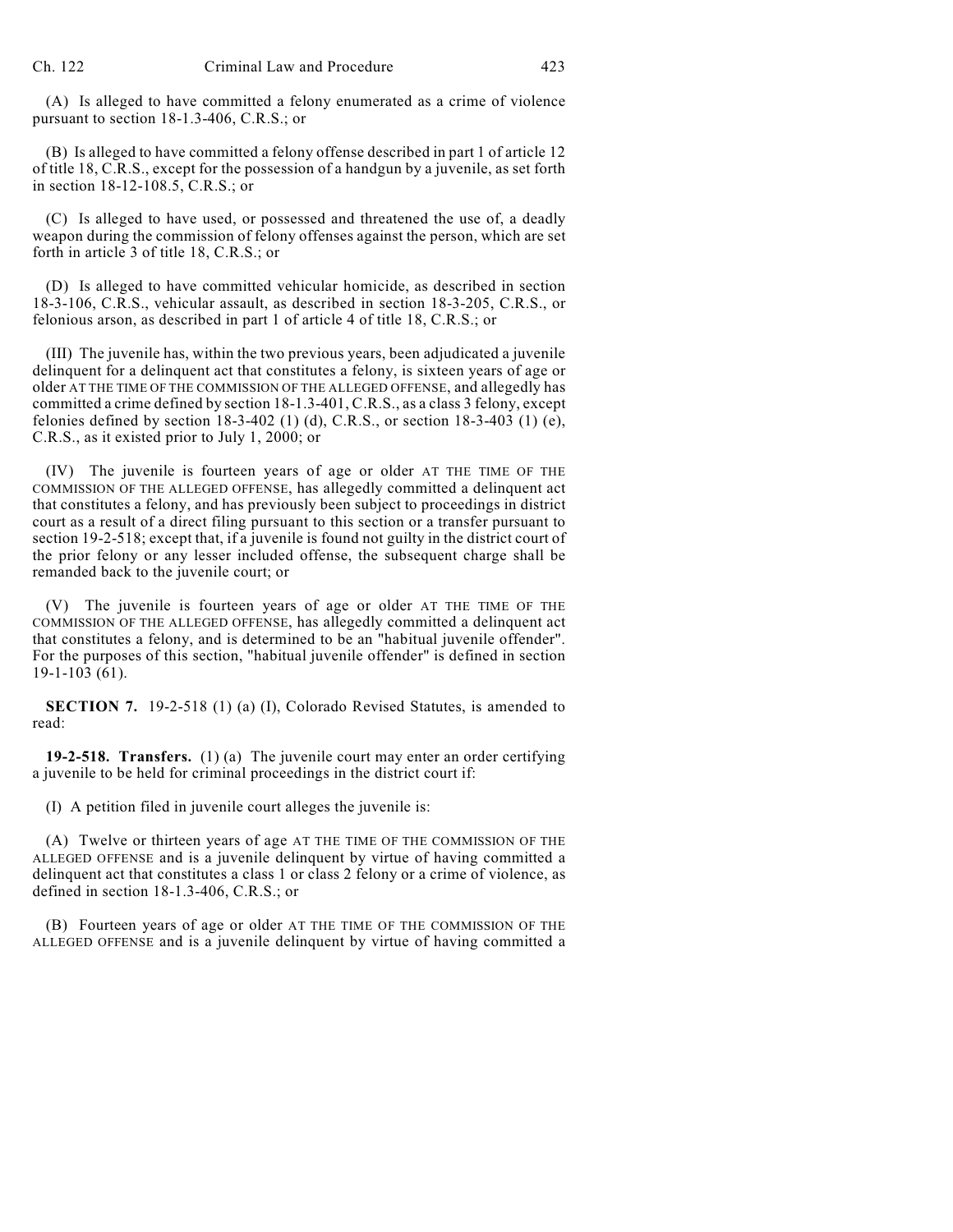(A) Is alleged to have committed a felony enumerated as a crime of violence pursuant to section 18-1.3-406, C.R.S.; or

(B) Is alleged to have committed a felony offense described in part 1 of article 12 of title 18, C.R.S., except for the possession of a handgun by a juvenile, as set forth in section 18-12-108.5, C.R.S.; or

(C) Is alleged to have used, or possessed and threatened the use of, a deadly weapon during the commission of felony offenses against the person, which are set forth in article 3 of title 18, C.R.S.; or

(D) Is alleged to have committed vehicular homicide, as described in section 18-3-106, C.R.S., vehicular assault, as described in section 18-3-205, C.R.S., or felonious arson, as described in part 1 of article 4 of title 18, C.R.S.; or

(III) The juvenile has, within the two previous years, been adjudicated a juvenile delinquent for a delinquent act that constitutes a felony, is sixteen years of age or older AT THE TIME OF THE COMMISSION OF THE ALLEGED OFFENSE, and allegedly has committed a crime defined by section 18-1.3-401, C.R.S., as a class 3 felony, except felonies defined by section  $18-3-402$  (1) (d), C.R.S., or section  $18-3-403$  (1) (e), C.R.S., as it existed prior to July 1, 2000; or

(IV) The juvenile is fourteen years of age or older AT THE TIME OF THE COMMISSION OF THE ALLEGED OFFENSE, has allegedly committed a delinquent act that constitutes a felony, and has previously been subject to proceedings in district court as a result of a direct filing pursuant to this section or a transfer pursuant to section 19-2-518; except that, if a juvenile is found not guilty in the district court of the prior felony or any lesser included offense, the subsequent charge shall be remanded back to the juvenile court; or

(V) The juvenile is fourteen years of age or older AT THE TIME OF THE COMMISSION OF THE ALLEGED OFFENSE, has allegedly committed a delinquent act that constitutes a felony, and is determined to be an "habitual juvenile offender". For the purposes of this section, "habitual juvenile offender" is defined in section 19-1-103 (61).

**SECTION 7.** 19-2-518 (1) (a) (I), Colorado Revised Statutes, is amended to read:

**19-2-518. Transfers.** (1) (a) The juvenile court may enter an order certifying a juvenile to be held for criminal proceedings in the district court if:

(I) A petition filed in juvenile court alleges the juvenile is:

(A) Twelve or thirteen years of age AT THE TIME OF THE COMMISSION OF THE ALLEGED OFFENSE and is a juvenile delinquent by virtue of having committed a delinquent act that constitutes a class 1 or class 2 felony or a crime of violence, as defined in section 18-1.3-406, C.R.S.; or

(B) Fourteen years of age or older AT THE TIME OF THE COMMISSION OF THE ALLEGED OFFENSE and is a juvenile delinquent by virtue of having committed a